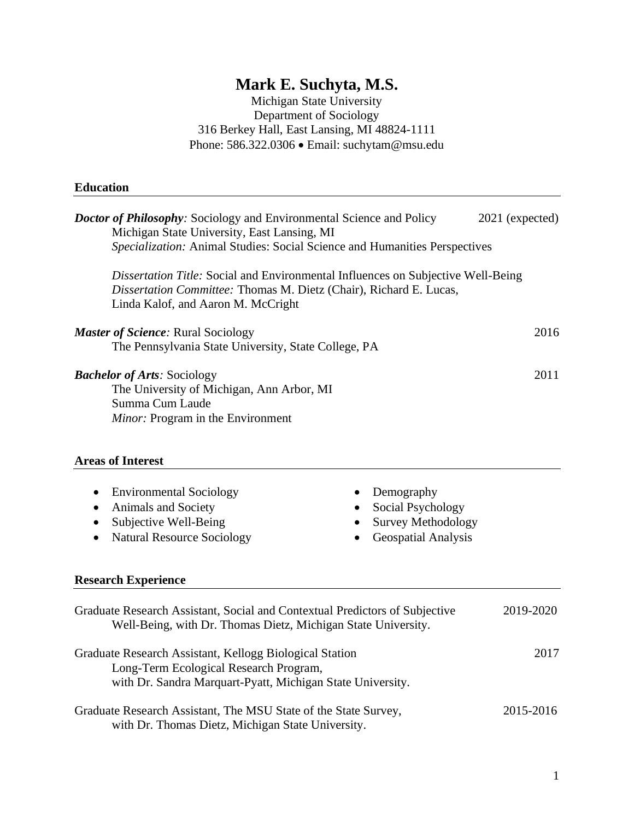# **Mark E. Suchyta, M.S.**

Michigan State University Department of Sociology 316 Berkey Hall, East Lansing, MI 48824-1111 Phone: 586.322.0306 • Email: [suchytam@msu.edu](mailto:suchytam@psu.edu)

#### **Education**

| <b>Doctor of Philosophy:</b> Sociology and Environmental Science and Policy<br>Michigan State University, East Lansing, MI<br>Specialization: Animal Studies: Social Science and Humanities Perspectives |                                                                                                                   | 2021 (expected) |
|----------------------------------------------------------------------------------------------------------------------------------------------------------------------------------------------------------|-------------------------------------------------------------------------------------------------------------------|-----------------|
| Dissertation Title: Social and Environmental Influences on Subjective Well-Being<br>Dissertation Committee: Thomas M. Dietz (Chair), Richard E. Lucas,<br>Linda Kalof, and Aaron M. McCright             |                                                                                                                   |                 |
| <b>Master of Science: Rural Sociology</b><br>The Pennsylvania State University, State College, PA                                                                                                        |                                                                                                                   | 2016            |
| <b>Bachelor of Arts: Sociology</b><br>The University of Michigan, Ann Arbor, MI<br>Summa Cum Laude<br>Minor: Program in the Environment<br><b>Areas of Interest</b>                                      |                                                                                                                   | 2011            |
| <b>Environmental Sociology</b><br>٠<br>Animals and Society<br>$\bullet$<br>Subjective Well-Being<br><b>Natural Resource Sociology</b><br><b>Research Experience</b>                                      | Demography<br>٠<br>Social Psychology<br>٠<br><b>Survey Methodology</b><br><b>Geospatial Analysis</b><br>$\bullet$ |                 |
| Graduate Research Assistant, Social and Contextual Predictors of Subjective<br>Well-Being, with Dr. Thomas Dietz, Michigan State University.                                                             |                                                                                                                   | 2019-2020       |
| Graduate Research Assistant, Kellogg Biological Station                                                                                                                                                  |                                                                                                                   | 2017            |

Graduate Research Assistant, The MSU State of the State Survey, 2015-2016 with Dr. Thomas Dietz, Michigan State University.

Long-Term Ecological Research Program,

with Dr. Sandra Marquart-Pyatt, Michigan State University.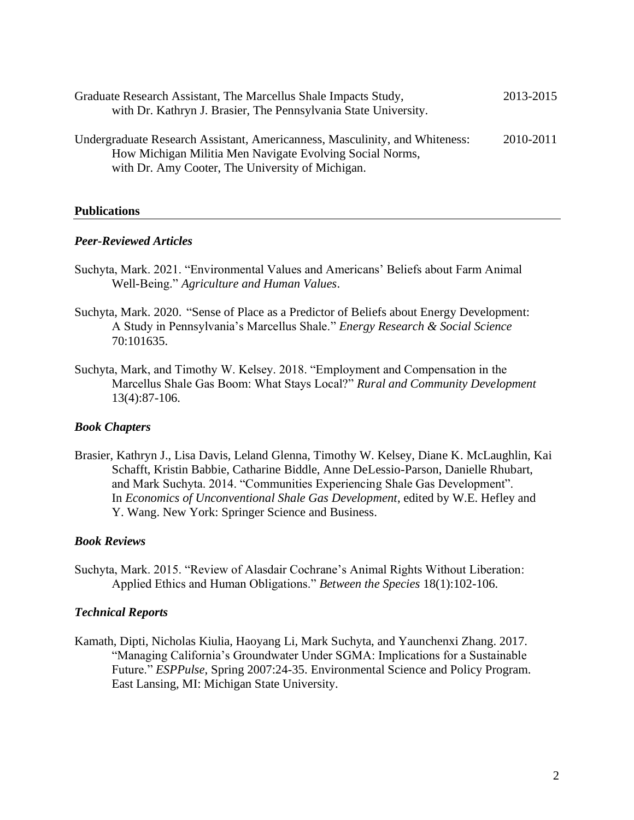| Graduate Research Assistant, The Marcellus Shale Impacts Study,<br>with Dr. Kathryn J. Brasier, The Pennsylvania State University.                                                          | 2013-2015 |
|---------------------------------------------------------------------------------------------------------------------------------------------------------------------------------------------|-----------|
| Undergraduate Research Assistant, Americanness, Masculinity, and Whiteness:<br>How Michigan Militia Men Navigate Evolving Social Norms,<br>with Dr. Amy Cooter, The University of Michigan. | 2010-2011 |

## **Publications**

## *Peer-Reviewed Articles*

- Suchyta, Mark. 2021. "Environmental Values and Americans' Beliefs about Farm Animal Well-Being." *Agriculture and Human Values*.
- Suchyta, Mark. 2020. "Sense of Place as a Predictor of Beliefs about Energy Development: A Study in Pennsylvania's Marcellus Shale." *Energy Research & Social Science* 70:101635.
- Suchyta, Mark, and Timothy W. Kelsey. 2018. "Employment and Compensation in the Marcellus Shale Gas Boom: What Stays Local?" *Rural and Community Development* 13(4):87-106.

## *Book Chapters*

Brasier, Kathryn J., Lisa Davis, Leland Glenna, Timothy W. Kelsey, Diane K. McLaughlin, Kai Schafft, Kristin Babbie, Catharine Biddle, Anne DeLessio-Parson, Danielle Rhubart, and Mark Suchyta. 2014. "Communities Experiencing Shale Gas Development". In *Economics of Unconventional Shale Gas Development*, edited by W.E. Hefley and Y. Wang. New York: Springer Science and Business.

## *Book Reviews*

Suchyta, Mark. 2015. "Review of Alasdair Cochrane's Animal Rights Without Liberation: Applied Ethics and Human Obligations." *Between the Species* 18(1):102-106.

## *Technical Reports*

Kamath, Dipti, Nicholas Kiulia, Haoyang Li, Mark Suchyta, and Yaunchenxi Zhang. 2017. "Managing California's Groundwater Under SGMA: Implications for a Sustainable Future." *ESPPulse*, Spring 2007:24-35. Environmental Science and Policy Program. East Lansing, MI: Michigan State University.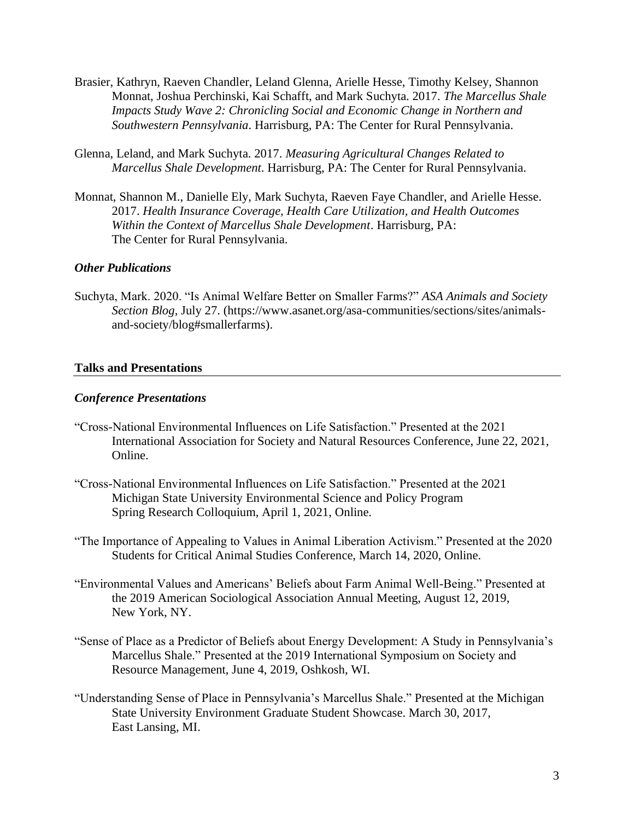- Brasier, Kathryn, Raeven Chandler, Leland Glenna, Arielle Hesse, Timothy Kelsey, Shannon Monnat, Joshua Perchinski, Kai Schafft, and Mark Suchyta. 2017. *The Marcellus Shale Impacts Study Wave 2: Chronicling Social and Economic Change in Northern and Southwestern Pennsylvania*. Harrisburg, PA: The Center for Rural Pennsylvania.
- Glenna, Leland, and Mark Suchyta. 2017. *Measuring Agricultural Changes Related to Marcellus Shale Development*. Harrisburg, PA: The Center for Rural Pennsylvania.
- Monnat, Shannon M., Danielle Ely, Mark Suchyta, Raeven Faye Chandler, and Arielle Hesse. 2017. *Health Insurance Coverage, Health Care Utilization, and Health Outcomes Within the Context of Marcellus Shale Development*. Harrisburg, PA: The Center for Rural Pennsylvania.

## *Other Publications*

Suchyta, Mark. 2020. "Is Animal Welfare Better on Smaller Farms?" *ASA Animals and Society Section Blog*, July 27. [\(https://www.asanet.org/asa-communities/sections/sites/animals](https://www.asanet.org/asa-communities/sections/sites/animals-and-society/blog#smallerfarms)[and-society/blog#smallerfarms\)](https://www.asanet.org/asa-communities/sections/sites/animals-and-society/blog#smallerfarms).

#### **Talks and Presentations**

#### *Conference Presentations*

- "Cross-National Environmental Influences on Life Satisfaction." Presented at the 2021 International Association for Society and Natural Resources Conference, June 22, 2021, Online.
- "Cross-National Environmental Influences on Life Satisfaction." Presented at the 2021 Michigan State University Environmental Science and Policy Program Spring Research Colloquium, April 1, 2021, Online.
- "The Importance of Appealing to Values in Animal Liberation Activism." Presented at the 2020 Students for Critical Animal Studies Conference, March 14, 2020, Online.
- "Environmental Values and Americans' Beliefs about Farm Animal Well-Being." Presented at the 2019 American Sociological Association Annual Meeting, August 12, 2019, New York, NY.
- "Sense of Place as a Predictor of Beliefs about Energy Development: A Study in Pennsylvania's Marcellus Shale." Presented at the 2019 International Symposium on Society and Resource Management, June 4, 2019, Oshkosh, WI.
- "Understanding Sense of Place in Pennsylvania's Marcellus Shale." Presented at the Michigan State University Environment Graduate Student Showcase. March 30, 2017, East Lansing, MI.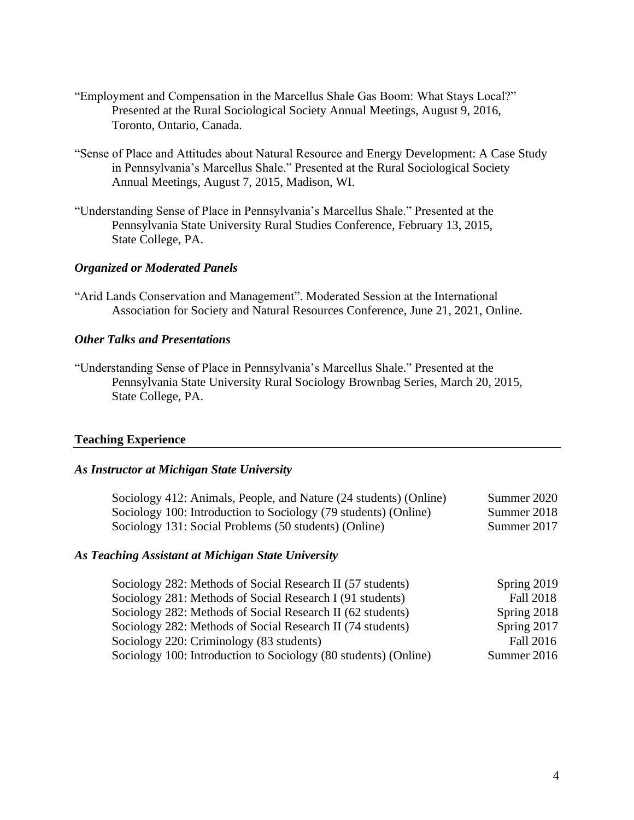- "Employment and Compensation in the Marcellus Shale Gas Boom: What Stays Local?" Presented at the Rural Sociological Society Annual Meetings, August 9, 2016, Toronto, Ontario, Canada.
- "Sense of Place and Attitudes about Natural Resource and Energy Development: A Case Study in Pennsylvania's Marcellus Shale." Presented at the Rural Sociological Society Annual Meetings, August 7, 2015, Madison, WI.
- "Understanding Sense of Place in Pennsylvania's Marcellus Shale." Presented at the Pennsylvania State University Rural Studies Conference, February 13, 2015, State College, PA.

## *Organized or Moderated Panels*

"Arid Lands Conservation and Management". Moderated Session at the International Association for Society and Natural Resources Conference, June 21, 2021, Online.

#### *Other Talks and Presentations*

"Understanding Sense of Place in Pennsylvania's Marcellus Shale." Presented at the Pennsylvania State University Rural Sociology Brownbag Series, March 20, 2015, State College, PA.

#### **Teaching Experience**

#### *As Instructor at Michigan State University*

| Sociology 412: Animals, People, and Nature (24 students) (Online) | Summer 2020 |
|-------------------------------------------------------------------|-------------|
| Sociology 100: Introduction to Sociology (79 students) (Online)   | Summer 2018 |
| Sociology 131: Social Problems (50 students) (Online)             | Summer 2017 |

#### *As Teaching Assistant at Michigan State University*

| Sociology 282: Methods of Social Research II (57 students)      | Spring 2019 |
|-----------------------------------------------------------------|-------------|
| Sociology 281: Methods of Social Research I (91 students)       | Fall 2018   |
| Sociology 282: Methods of Social Research II (62 students)      | Spring 2018 |
| Sociology 282: Methods of Social Research II (74 students)      | Spring 2017 |
| Sociology 220: Criminology (83 students)                        | Fall 2016   |
| Sociology 100: Introduction to Sociology (80 students) (Online) | Summer 2016 |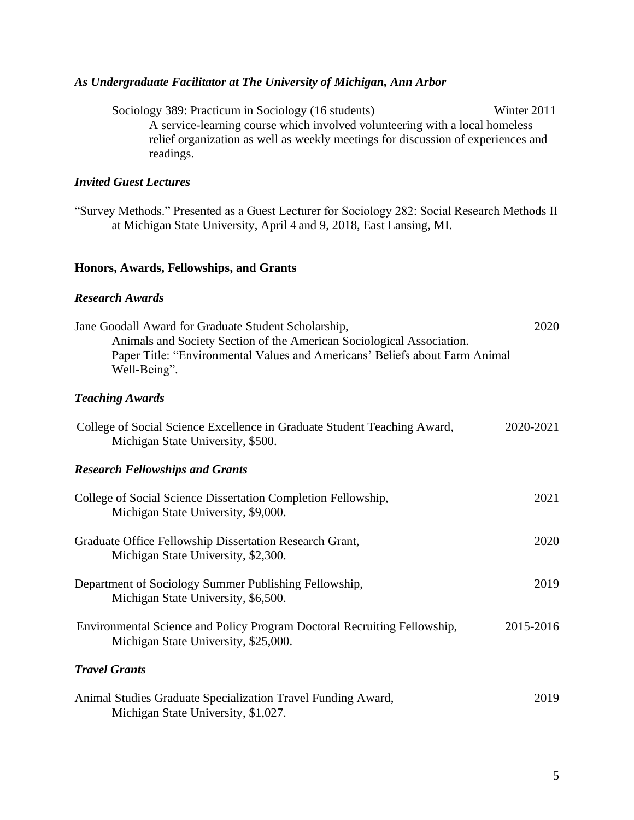## *As Undergraduate Facilitator at The University of Michigan, Ann Arbor*

Sociology 389: Practicum in Sociology (16 students) Winter 2011 A service-learning course which involved volunteering with a local homeless relief organization as well as weekly meetings for discussion of experiences and readings.

## *Invited Guest Lectures*

"Survey Methods." Presented as a Guest Lecturer for Sociology 282: Social Research Methods II at Michigan State University, April 4 and 9, 2018, East Lansing, MI.

#### **Honors, Awards, Fellowships, and Grants**

#### *Research Awards*

| Jane Goodall Award for Graduate Student Scholarship,<br>Animals and Society Section of the American Sociological Association.<br>Paper Title: "Environmental Values and Americans' Beliefs about Farm Animal<br>Well-Being". | 2020      |
|------------------------------------------------------------------------------------------------------------------------------------------------------------------------------------------------------------------------------|-----------|
| <b>Teaching Awards</b>                                                                                                                                                                                                       |           |
| College of Social Science Excellence in Graduate Student Teaching Award,<br>Michigan State University, \$500.                                                                                                                | 2020-2021 |
| <b>Research Fellowships and Grants</b>                                                                                                                                                                                       |           |
| College of Social Science Dissertation Completion Fellowship,<br>Michigan State University, \$9,000.                                                                                                                         | 2021      |
| Graduate Office Fellowship Dissertation Research Grant,<br>Michigan State University, \$2,300.                                                                                                                               | 2020      |
| Department of Sociology Summer Publishing Fellowship,<br>Michigan State University, \$6,500.                                                                                                                                 | 2019      |
| Environmental Science and Policy Program Doctoral Recruiting Fellowship,<br>Michigan State University, \$25,000.                                                                                                             | 2015-2016 |
| <b>Travel Grants</b>                                                                                                                                                                                                         |           |
| Animal Studies Graduate Specialization Travel Funding Award,<br>Michigan State University, \$1,027.                                                                                                                          | 2019      |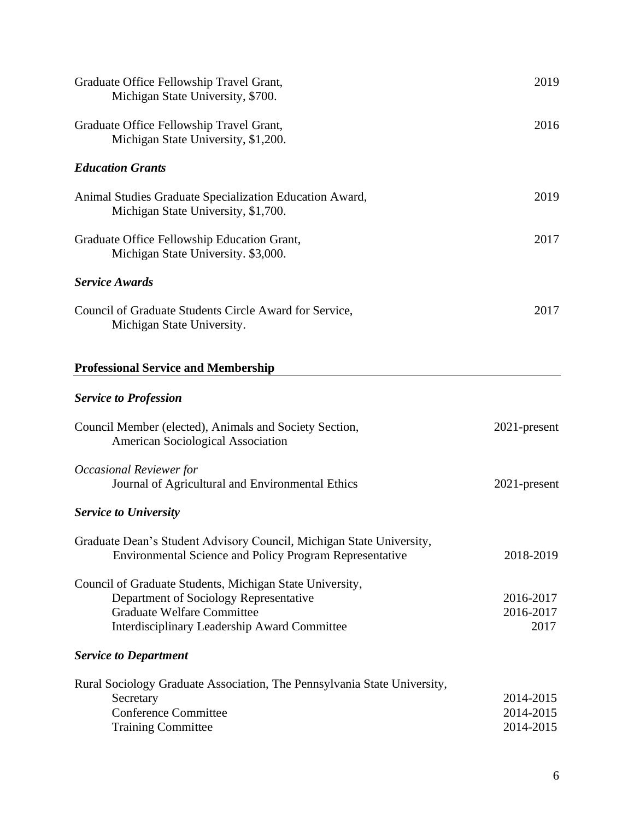| Graduate Office Fellowship Travel Grant,<br>Michigan State University, \$700.                                                                                                           | 2019                                |
|-----------------------------------------------------------------------------------------------------------------------------------------------------------------------------------------|-------------------------------------|
| Graduate Office Fellowship Travel Grant,<br>Michigan State University, \$1,200.                                                                                                         | 2016                                |
| <b>Education Grants</b>                                                                                                                                                                 |                                     |
| Animal Studies Graduate Specialization Education Award,<br>Michigan State University, \$1,700.                                                                                          | 2019                                |
| Graduate Office Fellowship Education Grant,<br>Michigan State University. \$3,000.                                                                                                      | 2017                                |
| <b>Service Awards</b>                                                                                                                                                                   |                                     |
| Council of Graduate Students Circle Award for Service,<br>Michigan State University.                                                                                                    | 2017                                |
| <b>Professional Service and Membership</b>                                                                                                                                              |                                     |
| <b>Service to Profession</b>                                                                                                                                                            |                                     |
| Council Member (elected), Animals and Society Section,<br>American Sociological Association                                                                                             | $2021$ -present                     |
| Occasional Reviewer for<br>Journal of Agricultural and Environmental Ethics                                                                                                             | 2021-present                        |
| <b>Service to University</b>                                                                                                                                                            |                                     |
| Graduate Dean's Student Advisory Council, Michigan State University,<br><b>Environmental Science and Policy Program Representative</b>                                                  | 2018-2019                           |
| Council of Graduate Students, Michigan State University,<br>Department of Sociology Representative<br><b>Graduate Welfare Committee</b><br>Interdisciplinary Leadership Award Committee | 2016-2017<br>2016-2017<br>2017      |
| <b>Service to Department</b>                                                                                                                                                            |                                     |
| Rural Sociology Graduate Association, The Pennsylvania State University,<br>Secretary<br><b>Conference Committee</b><br><b>Training Committee</b>                                       | 2014-2015<br>2014-2015<br>2014-2015 |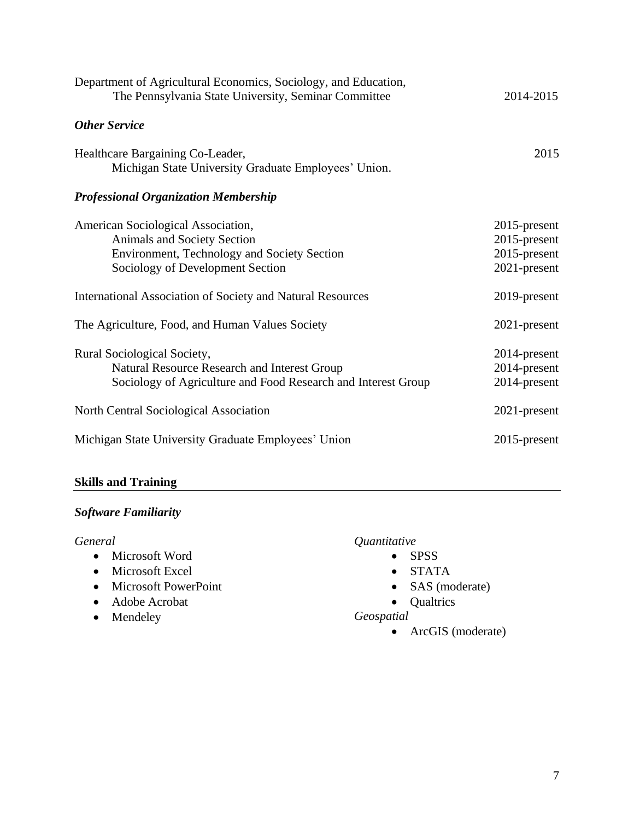| Department of Agricultural Economics, Sociology, and Education,<br>The Pennsylvania State University, Seminar Committee                              | 2014-2015                                                          |
|------------------------------------------------------------------------------------------------------------------------------------------------------|--------------------------------------------------------------------|
| <b>Other Service</b>                                                                                                                                 |                                                                    |
| Healthcare Bargaining Co-Leader,<br>Michigan State University Graduate Employees' Union.                                                             | 2015                                                               |
| <b>Professional Organization Membership</b>                                                                                                          |                                                                    |
| American Sociological Association,<br>Animals and Society Section<br>Environment, Technology and Society Section<br>Sociology of Development Section | $2015$ -present<br>$2015$ -present<br>2015-present<br>2021-present |
| International Association of Society and Natural Resources                                                                                           | 2019-present                                                       |
| The Agriculture, Food, and Human Values Society                                                                                                      | 2021-present                                                       |
| Rural Sociological Society,<br>Natural Resource Research and Interest Group<br>Sociology of Agriculture and Food Research and Interest Group         | 2014-present<br>2014-present<br>2014-present                       |
| North Central Sociological Association                                                                                                               | 2021-present                                                       |
| Michigan State University Graduate Employees' Union                                                                                                  | 2015-present                                                       |

## **Skills and Training**

## *Software Familiarity*

## *General*

- Microsoft Word
- Microsoft Excel
- Microsoft PowerPoint
- Adobe Acrobat
- Mendeley

## *Quantitative*

- SPSS
- STATA
- SAS (moderate)
- Qualtrics

## *Geospatial*

• ArcGIS (moderate)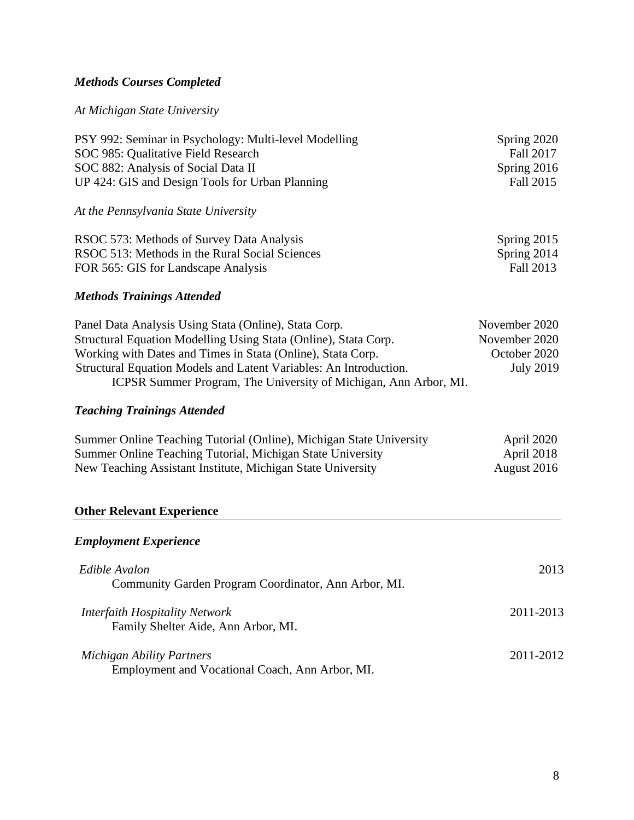# *Methods Courses Completed*

## *At Michigan State University*

| PSY 992: Seminar in Psychology: Multi-level Modelling                                                                                 | Spring 2020              |
|---------------------------------------------------------------------------------------------------------------------------------------|--------------------------|
| SOC 985: Qualitative Field Research                                                                                                   | Fall 2017                |
| SOC 882: Analysis of Social Data II<br>UP 424: GIS and Design Tools for Urban Planning                                                | Spring 2016<br>Fall 2015 |
| At the Pennsylvania State University                                                                                                  |                          |
| RSOC 573: Methods of Survey Data Analysis                                                                                             | Spring 2015              |
| RSOC 513: Methods in the Rural Social Sciences<br>FOR 565: GIS for Landscape Analysis                                                 | Spring 2014<br>Fall 2013 |
| <b>Methods Trainings Attended</b>                                                                                                     |                          |
| Panel Data Analysis Using Stata (Online), Stata Corp.                                                                                 | November 2020            |
| Structural Equation Modelling Using Stata (Online), Stata Corp.                                                                       | November 2020            |
| Working with Dates and Times in Stata (Online), Stata Corp.                                                                           | October 2020             |
| Structural Equation Models and Latent Variables: An Introduction.<br>ICPSR Summer Program, The University of Michigan, Ann Arbor, MI. | <b>July 2019</b>         |
| <b>Teaching Trainings Attended</b>                                                                                                    |                          |
| Summer Online Teaching Tutorial (Online), Michigan State University                                                                   | April 2020               |
| Summer Online Teaching Tutorial, Michigan State University                                                                            | April 2018               |
| New Teaching Assistant Institute, Michigan State University                                                                           | August 2016              |
| <b>Other Relevant Experience</b>                                                                                                      |                          |
| <b>Employment Experience</b>                                                                                                          |                          |
| Edible Avalon                                                                                                                         | 2013                     |
| Community Garden Program Coordinator, Ann Arbor, MI.                                                                                  |                          |
| <b>Interfaith Hospitality Network</b>                                                                                                 | 2011-2013                |
| Family Shelter Aide, Ann Arbor, MI.                                                                                                   |                          |
| <b>Michigan Ability Partners</b>                                                                                                      | 2011-2012                |

Employment and Vocational Coach, Ann Arbor, MI.